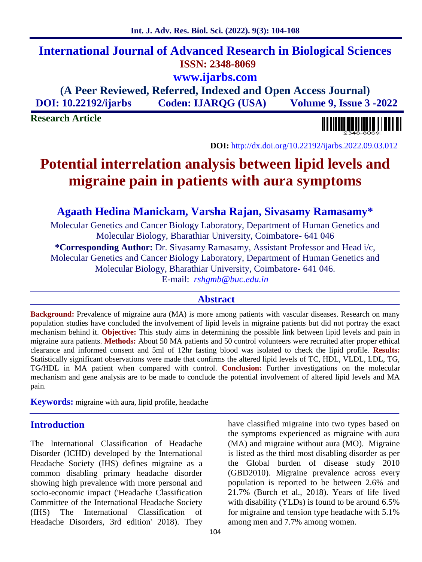# **International Journal of Advanced Research in Biological Sciences ISSN: 2348-8069 www.ijarbs.com**

**(A Peer Reviewed, Referred, Indexed and Open Access Journal) DOI: 10.22192/ijarbs Coden: IJARQG (USA) Volume 9, Issue 3 -2022**

**Research Article**

**DOI:** http://dx.doi.org/10.22192/ijarbs.2022.09.03.012

# **Potential interrelation analysis between lipid levels and migraine pain in patients with aura symptoms**

## **Agaath Hedina Manickam, Varsha Rajan, Sivasamy Ramasamy\***

Molecular Genetics and Cancer Biology Laboratory, Department of Human Genetics and Molecular Biology, Bharathiar University, Coimbatore- 641 046 **\*Corresponding Author:** Dr. Sivasamy Ramasamy, Assistant Professor and Head i/c, Molecular Genetics and Cancer Biology Laboratory, Department of Human Genetics and Molecular Biology, Bharathiar University, Coimbatore- 641 046. E-mail: *rshgmb@buc.edu.in*

#### **Abstract**

**Background:** Prevalence of migraine aura (MA) is more among patients with vascular diseases. Research on many population studies have concluded the involvement of lipid levels in migraine patients but did not portray the exact mechanism behind it. **Objective:** This study aims in determining the possible link between lipid levels and pain in migraine aura patients. **Methods:** About 50 MA patients and 50 control volunteers were recruited after proper ethical clearance and informed consent and 5ml of 12hr fasting blood was isolated to check the lipid profile. **Results:** Statistically significant observations were made that confirms the altered lipid levels of TC, HDL, VLDL, LDL, TG, TG/HDL in MA patient when compared with control. **Conclusion:** Further investigations on the molecular mechanism and gene analysis are to be made to conclude the potential involvement of altered lipid levels and MA pain.

**Keywords:** migraine with aura, lipid profile, headache

### **Introduction**

The International Classification of Headache Disorder (ICHD) developed by the International Headache Society (IHS) defines migraine as a common disabling primary headache disorder showing high prevalence with more personal and socio-economic impact ('Headache Classification Committee of the International Headache Society (IHS) The International Classification of Headache Disorders, 3rd edition' 2018). They

have classified migraine into two types based on the symptoms experienced as migraine with aura (MA) and migraine without aura (MO). Migraine is listed as the third most disabling disorder as per the Global burden of disease study 2010 (GBD2010). Migraine prevalence across every population is reported to be between 2.6% and 21.7% (Burch et al., 2018). Years of life lived with disability (YLDs) is found to be around 6.5% for migraine and tension type headache with 5.1% among men and 7.7% among women.

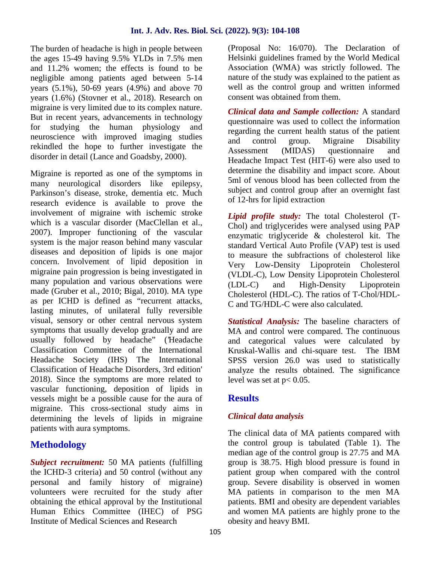The burden of headache is high in people between the ages 15-49 having 9.5% YLDs in 7.5% men and 11.2% women; the effects is found to be negligible among patients aged between 5-14 years (5.1%), 50-69 years (4.9%) and above 70 years (1.6%) (Stovner et al., 2018). Research on migraine is very limited due to its complex nature. But in recent years, advancements in technology for studying the human physiology and neuroscience with improved imaging studies rekindled the hope to further investigate the and contract and contract the state of the state of the state of the state of the state of the state of the state of the state of the state of the state of the state of the sta disorder in detail (Lance and Goadsby, 2000).

Migraine is reported as one of the symptoms in many neurological disorders like epilepsy, Parkinson's disease, stroke, dementia etc. Much research evidence is available to prove the involvement of migraine with ischemic stroke which is a vascular disorder (MacClellan et al., 2007). Improper functioning of the vascular system is the major reason behind many vascular diseases and deposition of lipids is one major concern. Involvement of lipid deposition in migraine pain progression is being investigated in many population and various observations were  $(LDL-C)$ made (Gruber et al., 2010; Bigal, 2010). MA type as per ICHD is defined as "recurrent attacks, lasting minutes, of unilateral fully reversible visual, sensory or other central nervous system symptoms that usually develop gradually and are usually followed by headache" ('Headache Classification Committee of the International Headache Society (IHS) The International Classification of Headache Disorders, 3rd edition' 2018). Since the symptoms are more related to vascular functioning, deposition of lipids in vessels might be a possible cause for the aura of migraine. This cross-sectional study aims in determining the levels of lipids in migraine patients with aura symptoms.

# **Methodology**

*Subject recruitment:* 50 MA patients (fulfilling the ICHD-3 criteria) and 50 control (without any personal and family history of migraine) volunteers were recruited for the study after obtaining the ethical approval by the Institutional Human Ethics Committee (IHEC) of PSG Institute of Medical Sciences and Research

(Proposal No: 16/070). The Declaration of Helsinki guidelines framed by the World Medical Association (WMA) was strictly followed. The nature of the study was explained to the patient as well as the control group and written informed consent was obtained from them.

*Clinical data and Sample collection:* A standard questionnaire was used to collect the information regarding the current health status of the patient control group. Migraine Disability (MIDAS) questionnaire and Headache Impact Test (HIT-6) were also used to determine the disability and impact score. About 5ml of venous blood has been collected from the subject and control group after an overnight fast of 12-hrs for lipid extraction

*Lipid profile study:* The total Cholesterol (T- Chol) and triglycerides were analysed using PAP enzymatic triglyceride & cholesterol kit. The standard Vertical Auto Profile (VAP) test is used to measure the subfractions of cholesterol like Very Low-Density Lipoprotein Cholesterol (VLDL-C), Low Density Lipoprotein Cholesterol and High-Density Lipoprotein Cholesterol (HDL-C). The ratios of T-Chol/HDL- C and TG/HDL-C were also calculated.

*Statistical Analysis:* The baseline characters of MA and control were compared. The continuous and categorical values were calculated by Kruskal-Wallis and chi-square test. The IBM SPSS version 26.0 was used to statistically analyze the results obtained. The significance level was set at  $p < 0.05$ .

## **Results**

## *Clinical data analysis*

The clinical data of MA patients compared with the control group is tabulated (Table 1). The median age of the control group is 27.75 and MA group is 38.75. High blood pressure is found in patient group when compared with the control group. Severe disability is observed in women MA patients in comparison to the men MA patients. BMI and obesity are dependent variables and women MA patients are highly prone to the obesity and heavy BMI.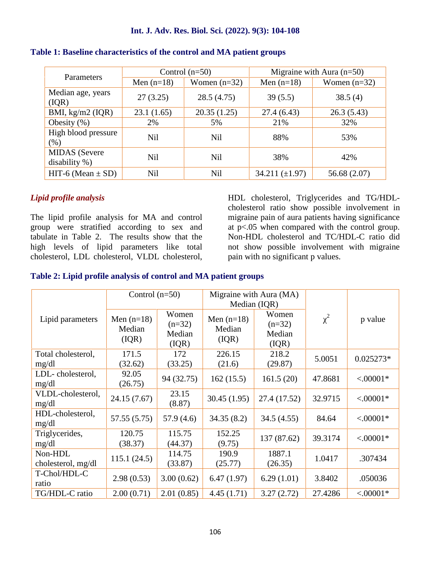#### **Int. J. Adv. Res. Biol. Sci. (2022). 9(3): 104-108**

| Parameters                           |              | Control $(n=50)$ |                     | Migraine with Aura $(n=50)$ |  |
|--------------------------------------|--------------|------------------|---------------------|-----------------------------|--|
|                                      | Men $(n=18)$ | Women $(n=32)$   | Men $(n=18)$        | Women $(n=32)$              |  |
| Median age, years<br>(IQR)           | 27(3.25)     | 28.5 (4.75)      | 39(5.5)             | 38.5(4)                     |  |
| BMI, $kg/m2$ (IQR)                   | 23.1(1.65)   | 20.35(1.25)      | 27.4(6.43)          | 26.3(5.43)                  |  |
| Obesity $(\%)$                       | 2%           | 5%               | 21%                 | 32%                         |  |
| High blood pressure<br>(% )          | <b>Nil</b>   | <b>Nil</b>       | 88%                 | 53%                         |  |
| <b>MIDAS</b> (Severe<br>disability % | <b>Nil</b>   | Nil              | 38%                 | 42%                         |  |
| HIT-6 (Mean $\pm$ SD)                | <b>Nil</b>   | Nil              | 34.211 $(\pm 1.97)$ | 56.68 (2.07)                |  |

#### **Table 1: Baseline characteristics of the control and MA patient groups**

#### *Lipid profile analysis*

The lipid profile analysis for MA and control group were stratified according to sex and tabulate in Table 2. The results show that the high levels of lipid parameters like total cholesterol, LDL cholesterol, VLDL cholesterol,

HDL cholesterol, Triglycerides and TG/HDL cholesterol ratio show possible involvement in migraine pain of aura patients having significance at p<.05 when compared with the control group. Non-HDL cholesterol and TC/HDL-C ratio did not show possible involvement with migraine pain with no significant p values.

#### **Table 2: Lipid profile analysis of control and MA patient groups**

|                               | Control $(n=50)$                |                                       | Migraine with Aura (MA)<br>Median (IQR) |                                      |         |             |
|-------------------------------|---------------------------------|---------------------------------------|-----------------------------------------|--------------------------------------|---------|-------------|
| Lipid parameters              | Men $(n=18)$<br>Median<br>(IQR) | Women<br>$(n=32)$<br>Median<br>( IQR) | Men $(n=18)$<br>Median<br>(IQR)         | Women<br>$(n=32)$<br>Median<br>(IQR) | 2       | p value     |
| Total cholesterol,<br>mg/dl   | 171.5<br>(32.62)                | 172<br>(33.25)                        | 226.15<br>(21.6)                        | 218.2<br>(29.87)                     | 5.0051  | $0.025273*$ |
| LDL-cholesterol,<br>mg/dl     | 92.05<br>(26.75)                | 94 (32.75)                            | 162(15.5)                               | 161.5(20)                            | 47.8681 | $< .00001*$ |
| VLDL-cholesterol,<br>mg/dl    | 24.15 (7.67)                    | 23.15<br>(8.87)                       | 30.45(1.95)                             | 27.4 (17.52)                         | 32.9715 | $< .00001*$ |
| HDL-cholesterol,<br>mg/dl     | 57.55 (5.75)                    | 57.9(4.6)                             | 34.35(8.2)                              | 34.5(4.55)                           | 84.64   | $< .00001*$ |
| Triglycerides,<br>mg/dl       | 120.75<br>(38.37)               | 115.75<br>(44.37)                     | 152.25<br>(9.75)                        | 137 (87.62)                          | 39.3174 | $< .00001*$ |
| Non-HDL<br>cholesterol, mg/dl | 115.1(24.5)                     | 114.75<br>(33.87)                     | 190.9<br>(25.77)                        | 1887.1<br>(26.35)                    | 1.0417  | .307434     |
| T-Chol/HDL-C<br>ratio         | 2.98(0.53)                      | 3.00(0.62)                            | 6.47(1.97)                              | 6.29(1.01)                           | 3.8402  | .050036     |
| TG/HDL-C ratio                | 2.00(0.71)                      | 2.01(0.85)                            | 4.45(1.71)                              | 3.27(2.72)                           | 27.4286 | $< .00001*$ |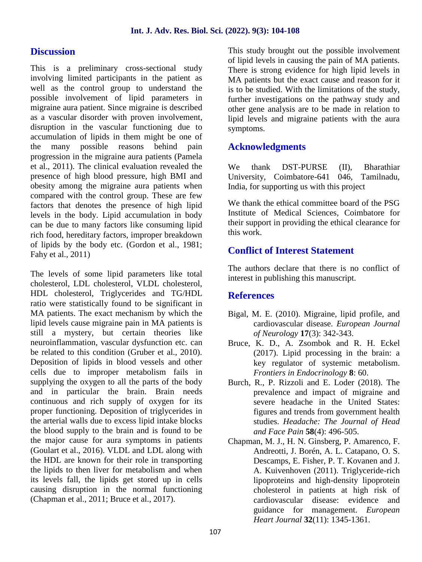## **Discussion**

This is a preliminary cross-sectional study involving limited participants in the patient as well as the control group to understand the possible involvement of lipid parameters in migraine aura patient. Since migraine is described as a vascular disorder with proven involvement, disruption in the vascular functioning due to accumulation of lipids in them might be one of the many possible reasons behind pain progression in the migraine aura patients (Pamela et al., 2011). The clinical evaluation revealed the presence of high blood pressure, high BMI and obesity among the migraine aura patients when compared with the control group. These are few factors that denotes the presence of high lipid levels in the body. Lipid accumulation in body can be due to many factors like consuming lipid rich food, hereditary factors, improper breakdown of lipids by the body etc. (Gordon et al., 1981; Fahy et al., 2011)

The levels of some lipid parameters like total cholesterol, LDL cholesterol, VLDL cholesterol, HDL cholesterol, Triglycerides and TG/HDL ratio were statistically found to be significant in MA patients. The exact mechanism by which the lipid levels cause migraine pain in MA patients is still a mystery, but certain theories like neuroinflammation, vascular dysfunction etc. can be related to this condition (Gruber et al., 2010). Deposition of lipids in blood vessels and other cells due to improper metabolism fails in supplying the oxygen to all the parts of the body and in particular the brain. Brain needs continuous and rich supply of oxygen for its proper functioning. Deposition of triglycerides in the arterial walls due to excess lipid intake blocks the blood supply to the brain and is found to be the major cause for aura symptoms in patients (Goulart et al., 2016). VLDL and LDL along with the HDL are known for their role in transporting the lipids to then liver for metabolism and when its levels fall, the lipids get stored up in cells causing disruption in the normal functioning (Chapman et al., 2011; Bruce et al., 2017).

This study brought out the possible involvement of lipid levels in causing the pain of MA patients. There is strong evidence for high lipid levels in MA patients but the exact cause and reason for it is to be studied. With the limitations of the study, further investigations on the pathway study and other gene analysis are to be made in relation to lipid levels and migraine patients with the aura symptoms.

## **Acknowledgments**

thank DST-PURSE (II), Bharathiar University, Coimbatore-641 046, Tamilnadu, India, for supporting us with this project

We thank the ethical committee board of the PSG Institute of Medical Sciences, Coimbatore for their support in providing the ethical clearance for this work.

## **Conflict of Interest Statement**

The authors declare that there is no conflict of interest in publishing this manuscript.

## **References**

- Bigal, M. E. (2010). Migraine, lipid profile, and cardiovascular disease. *European Journal of Neurology* **17**(3): 342-343.
- Bruce, K. D., A. Zsombok and R. H. Eckel (2017). Lipid processing in the brain: a key regulator of systemic metabolism. *Frontiers in Endocrinology* **8**: 60.
- Burch, R., P. Rizzoli and E. Loder (2018). The prevalence and impact of migraine and severe headache in the United States: figures and trends from government health studies. *Headache: The Journal of Head and Face Pain* **58**(4): 496-505.
- Chapman, M. J., H. N. Ginsberg, P. Amarenco, F. Andreotti, J. Borén, A. L. Catapano, O. S. Descamps, E. Fisher, P. T. Kovanen and J. A. Kuivenhoven (2011). Triglyceride-rich lipoproteins and high-density lipoprotein cholesterol in patients at high risk of cardiovascular disease: evidence and guidance for management. *European Heart Journal* **32**(11): 1345-1361.